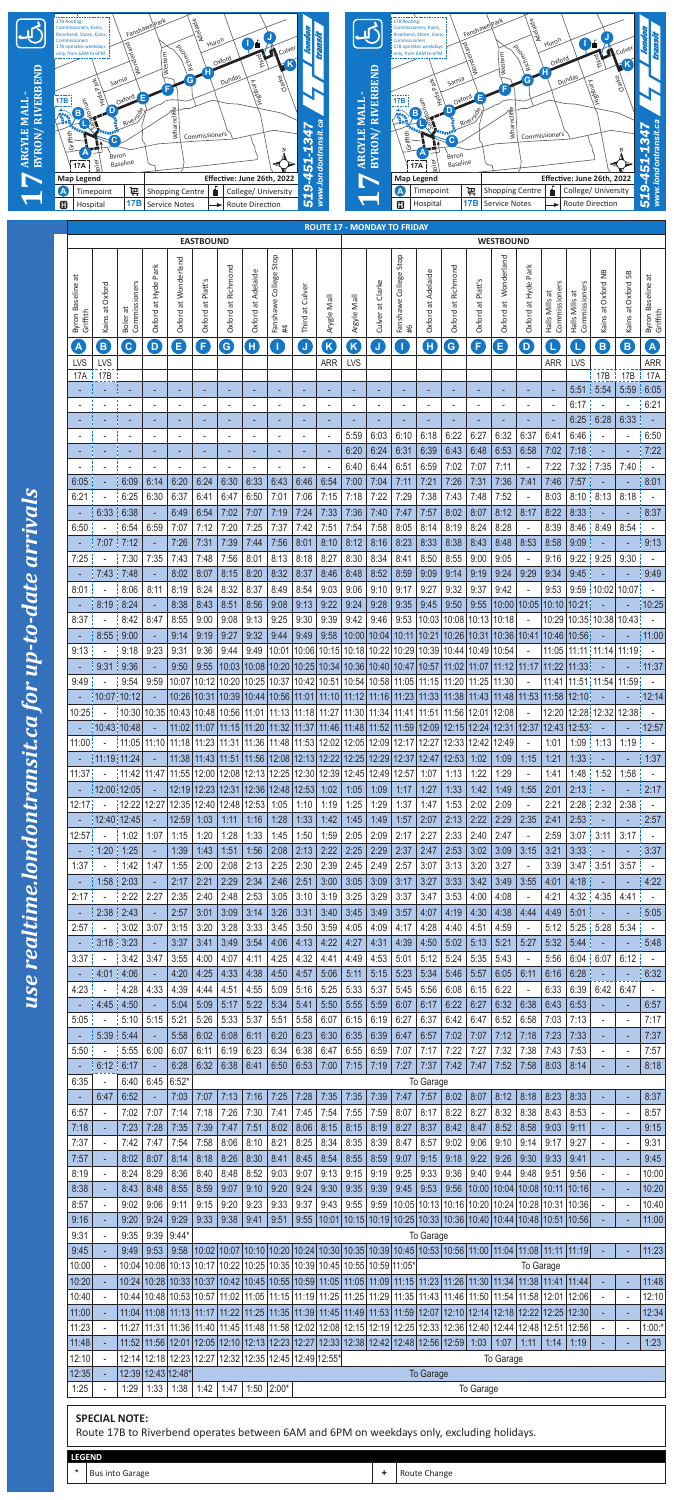| <b>LEGEND</b> |                        |                                |
|---------------|------------------------|--------------------------------|
|               | <b>Bus into Garage</b> | Change<br>ute<br>$\sim$<br>nu. |



|                       |    |                                 | <b>EASTBOUND</b>                    |                           |                           |                         |                    |                                                                                                                                                                                                                                                                                                                                    |                                 |                                   | <b>WESTBOUND</b>         |                                            |              |                     |                                   |                                    |                       |                               |                                   |                           |                                                                                                                                                                                                                                                                                                                                                                                           |                                 |                                       |                            |                                                                                                                                                                                                                                          |
|-----------------------|----|---------------------------------|-------------------------------------|---------------------------|---------------------------|-------------------------|--------------------|------------------------------------------------------------------------------------------------------------------------------------------------------------------------------------------------------------------------------------------------------------------------------------------------------------------------------------|---------------------------------|-----------------------------------|--------------------------|--------------------------------------------|--------------|---------------------|-----------------------------------|------------------------------------|-----------------------|-------------------------------|-----------------------------------|---------------------------|-------------------------------------------------------------------------------------------------------------------------------------------------------------------------------------------------------------------------------------------------------------------------------------------------------------------------------------------------------------------------------------------|---------------------------------|---------------------------------------|----------------------------|------------------------------------------------------------------------------------------------------------------------------------------------------------------------------------------------------------------------------------------|
|                       |    | ᄫ<br>Byron Baseline<br>Griffith | Oxford<br>ã<br>Kains                | Commissioners<br>Boler at | Park<br>at Hyde<br>Oxford | at Wonderland<br>Oxford | at Platt<br>Oxford | Richmond<br>$\vec{a}$<br>Oxford                                                                                                                                                                                                                                                                                                    | Adelaide<br>$\vec{a}$<br>Oxford | Stop<br>College<br>Fanshawe<br>#4 | at Culver<br>Third       | Arygle Mall                                | Argyle Mall  | Clarke<br>Culver at | Stop<br>College<br>Fanshawe<br>9# | at Adelaide<br>Oxford              | at Richmond<br>Oxford | Platt'<br>$\vec{a}$<br>Oxford | Wonderland<br>$\vec{a}$<br>Oxford | Park<br>at Hyde<br>Oxford | Commissioners<br>Halls Mills at                                                                                                                                                                                                                                                                                                                                                           | Commissioners<br>Halls Mills at | $\frac{8}{2}$<br>Oxford<br>đ<br>Kains | æ<br>Oxford<br>Kains at    | ä<br>aseline<br>≃<br>Griffith<br>Byron                                                                                                                                                                                                   |
|                       |    | A                               | $\overline{B}$                      | $\boxed{\mathbf{C}}$      | $\overline{D}$            | E                       | F                  | $\left($ G                                                                                                                                                                                                                                                                                                                         | H                               | H.                                | $\mathsf{J}$             | $\mathsf{K}$                               | K            | J                   | Т                                 | H                                  | G                     | F                             | E                                 | $\mathbf{D}$              | Q                                                                                                                                                                                                                                                                                                                                                                                         |                                 | $\mathbf{B}$                          | $\left( \mathsf{B}\right)$ | $\boldsymbol{\mathsf{A}}$                                                                                                                                                                                                                |
|                       |    | <b>LVS</b>                      | <b>LVS</b>                          |                           |                           |                         |                    |                                                                                                                                                                                                                                                                                                                                    |                                 |                                   |                          | <b>ARR</b>                                 | <b>LVS</b>   |                     |                                   |                                    |                       |                               |                                   |                           | <b>ARR</b>                                                                                                                                                                                                                                                                                                                                                                                | LVS                             |                                       |                            | <b>ARR</b>                                                                                                                                                                                                                               |
|                       |    | <b>17A</b>                      | 17B                                 |                           |                           |                         |                    |                                                                                                                                                                                                                                                                                                                                    |                                 |                                   |                          |                                            |              |                     |                                   |                                    |                       |                               |                                   |                           |                                                                                                                                                                                                                                                                                                                                                                                           |                                 | 17B                                   | 17B                        | <b>17A</b>                                                                                                                                                                                                                               |
|                       |    |                                 |                                     |                           |                           |                         |                    |                                                                                                                                                                                                                                                                                                                                    |                                 |                                   |                          |                                            |              |                     |                                   |                                    |                       |                               |                                   |                           |                                                                                                                                                                                                                                                                                                                                                                                           | 5:51                            | 5:54                                  | 5:59                       | 6:05                                                                                                                                                                                                                                     |
|                       |    |                                 |                                     |                           |                           | ٠                       |                    |                                                                                                                                                                                                                                                                                                                                    |                                 |                                   | $\overline{\phantom{a}}$ |                                            |              |                     |                                   | ۰                                  |                       |                               |                                   | $\overline{\phantom{a}}$  | $\blacksquare$                                                                                                                                                                                                                                                                                                                                                                            | 6:17                            |                                       |                            | 6:21                                                                                                                                                                                                                                     |
|                       |    |                                 |                                     |                           |                           |                         |                    |                                                                                                                                                                                                                                                                                                                                    |                                 |                                   |                          |                                            |              |                     |                                   |                                    |                       |                               |                                   |                           |                                                                                                                                                                                                                                                                                                                                                                                           | 6:25                            | 6:28                                  | 6:33                       |                                                                                                                                                                                                                                          |
|                       |    |                                 |                                     |                           |                           | ٠                       |                    |                                                                                                                                                                                                                                                                                                                                    |                                 |                                   | $\blacksquare$           |                                            | 5:59         | 6:03                | 6:10                              | 6:18                               | 6:22                  | 6:27                          | 6:32                              | 6:37                      | 6:41                                                                                                                                                                                                                                                                                                                                                                                      | 6:46                            |                                       | $\blacksquare$             | 6:50                                                                                                                                                                                                                                     |
|                       |    |                                 |                                     |                           |                           |                         |                    |                                                                                                                                                                                                                                                                                                                                    |                                 |                                   |                          |                                            | 6:20         | 6:24                | 6:31                              | 6:39                               | 6:43                  | 6:48                          | 6:53                              | 6:58                      | 7:02                                                                                                                                                                                                                                                                                                                                                                                      | 7:18                            |                                       |                            | 7:22                                                                                                                                                                                                                                     |
|                       |    |                                 |                                     |                           |                           |                         |                    |                                                                                                                                                                                                                                                                                                                                    |                                 |                                   |                          |                                            | 6:40         | 6:44                | 6:51                              | 6:59                               | 7:02                  | 7:07                          | 7:11                              |                           | 7:22                                                                                                                                                                                                                                                                                                                                                                                      | 7:32                            | 7:35                                  | 7:40                       |                                                                                                                                                                                                                                          |
|                       |    | 6:05                            |                                     | 6:09                      | 6:14                      | 6:20                    | 6:24               | 6:30                                                                                                                                                                                                                                                                                                                               | 6:33                            | 6:43                              | 6:46                     | 6:54                                       | 7:00         | 7:04                | 7:11                              | 7:21                               | 7:26                  | 7:31                          | 7:36                              | 7:41                      | 7:46                                                                                                                                                                                                                                                                                                                                                                                      | 7:57                            |                                       |                            | 8:01                                                                                                                                                                                                                                     |
| arrivals              |    | 6:21                            |                                     | 6:25                      | 6:30                      | 6:37                    | 6:41               | 6:47                                                                                                                                                                                                                                                                                                                               | 6:50                            | 7:01                              | 7:06                     | 7:15                                       | 7:18         | 7:22                | 7:29                              | 7:38                               | 7:43                  | 7:48                          | 7:52                              |                           | 8:03                                                                                                                                                                                                                                                                                                                                                                                      | 8:10                            | 8:13                                  | 8:18                       |                                                                                                                                                                                                                                          |
|                       |    |                                 | 6:33                                | 6:38                      |                           | 6:49                    | 6:54               | 7:02                                                                                                                                                                                                                                                                                                                               | 7:07                            | 7:19                              | 7:24                     | 7:33                                       | 7:36         | 7:40                | 7:47                              | 7:57                               | 8:02                  | 8:07                          | 8:12                              | 8:17                      | 8:22                                                                                                                                                                                                                                                                                                                                                                                      | 8:33                            |                                       |                            | 8:37                                                                                                                                                                                                                                     |
|                       |    | 6:50                            |                                     | 6:54                      | 6:59                      | 7:07                    | 7:12               | 7:20                                                                                                                                                                                                                                                                                                                               | 7:25                            | 7:37                              | 7:42                     | 7:51                                       | 7:54         | 7:58                | 8:05                              | 8:14                               | 8:19                  | 8:24                          | 8:28                              |                           | 8:39                                                                                                                                                                                                                                                                                                                                                                                      | 8:46                            | 8.49                                  | 8:54                       |                                                                                                                                                                                                                                          |
|                       |    |                                 | 7:07                                | 7:12                      |                           | 7:26                    | 7:31               | 7:39                                                                                                                                                                                                                                                                                                                               | 7:44                            | 7:56                              | 8:01                     | 8:10                                       | 8:12         | 8:16                | 8:23                              | 8:33                               | 8:38                  | 8:43                          | 8:48                              | 8:53                      | 8:58                                                                                                                                                                                                                                                                                                                                                                                      | 9:09                            |                                       |                            | 9:13                                                                                                                                                                                                                                     |
|                       |    | 7:25                            |                                     | 7:30                      | 7:35                      | 7:43                    | 7:48               | 7:56                                                                                                                                                                                                                                                                                                                               | 8:01                            | 8:13                              | 8:18                     | 8:27                                       | 8:30         | 8:34                | 8:41                              | 8:50                               | 8:55                  | 9:00                          | 9:05                              |                           | 9:16                                                                                                                                                                                                                                                                                                                                                                                      | 9:22                            | 9:25                                  | 9:30                       |                                                                                                                                                                                                                                          |
|                       |    |                                 | 7:43                                | 7:48                      |                           | 8:02                    | 8:07               | 8:15                                                                                                                                                                                                                                                                                                                               | 8:20                            | 8:32                              | 8:37                     | 8:46                                       | 8:48         | 8:52                | 8:59                              | 9:09                               | 9:14                  | 9:19                          | 9:24                              | 9:29                      | 9:34                                                                                                                                                                                                                                                                                                                                                                                      | 9:45                            |                                       |                            | 9:49                                                                                                                                                                                                                                     |
|                       |    | 8:01                            |                                     | 8:06                      | 8:11                      | 8:19                    | 8:24               | 8:32                                                                                                                                                                                                                                                                                                                               | 8:37                            | 8:49                              | 8:54                     | 9:03                                       | 9:06         | 9:10                | 9:17                              | 9:27                               | 9:32                  | 9:37                          | 9:42                              |                           | 9:53                                                                                                                                                                                                                                                                                                                                                                                      | 9:59                            | 10:02                                 | 10:07                      |                                                                                                                                                                                                                                          |
| date                  |    |                                 | 8:19                                | 8:24                      |                           | 8:38                    | 8:43               | 8:51                                                                                                                                                                                                                                                                                                                               | 8:56                            | 9:08                              | 9:13                     | 9:22                                       | 9:24         | 9:28                | 9:35                              | 9:45                               | 9:50                  | 9:55                          | 10:00                             | 10:05                     | 10:10                                                                                                                                                                                                                                                                                                                                                                                     | 10:21                           |                                       |                            | 10:25                                                                                                                                                                                                                                    |
|                       | O  |                                 |                                     | $8:37$ $ 8:42$            | 8:47                      | 8:55                    | 9:00               |                                                                                                                                                                                                                                                                                                                                    | $9:08$   9:13                   |                                   |                          |                                            |              |                     |                                   |                                    |                       |                               |                                   |                           | $9:25$   $9:30$   $9:39$   $9:42$   $9:46$   $9:53$   10:03   10:08   10:13   10:18   $-$   10:29   10:35   10:38   10:43   $-$                                                                                                                                                                                                                                                           |                                 |                                       |                            |                                                                                                                                                                                                                                          |
|                       |    |                                 | $-$ 8:55 9:00                       |                           |                           | 9:14                    | 9:19               | 9:27                                                                                                                                                                                                                                                                                                                               | 9:32                            |                                   |                          |                                            |              |                     |                                   |                                    |                       |                               |                                   |                           | $9.44$   $9.49$   $9.58$  10:00   10:04   10:11   10:21   10:26   10:31   10:36   10:41   10:46   10:56       -                                                                                                                                                                                                                                                                           |                                 |                                       |                            | $  11:00 $                                                                                                                                                                                                                               |
|                       | dn |                                 | $9:13$ $ 9:18$<br>$-$   9:31   9:36 |                           | 9:23                      | 9:31                    |                    |                                                                                                                                                                                                                                                                                                                                    |                                 |                                   |                          |                                            |              |                     |                                   |                                    |                       |                               |                                   |                           | $9.50$   $9.55$  10:03 10:08 10:20 10:25 10:34 10:36 10:40 10:47 10:57 11:02 11:07 11:12 11:17 11:22 11:33  -                                                                                                                                                                                                                                                                             |                                 |                                       |                            | $9.36 \mid 9.44 \mid 9.49 \mid 10.01 \mid 10.06 \mid 10.15 \mid 10.18 \mid 10.22 \mid 10.29 \mid 10.39 \mid 10.44 \mid 10.49 \mid 10.54 \mid - \left[ 11.05 \mid 11.11 \mid 11.14 \mid 11.19 \right]$<br>$\vert$ - $\vert$ 11:37 $\vert$ |
|                       |    |                                 |                                     | $9:49$ $ 9:54$            | 9:59                      |                         |                    |                                                                                                                                                                                                                                                                                                                                    |                                 |                                   |                          |                                            |              |                     |                                   |                                    |                       |                               |                                   |                           | 10:07 10:12 10:20 10:25 10:37 10:42 10:51 10:54 10:58 11:05 11:15 11:20 11:25 11:30  -  11:41 11:51 11:54 11:59  -                                                                                                                                                                                                                                                                        |                                 |                                       |                            |                                                                                                                                                                                                                                          |
| tor                   |    |                                 |                                     | $-$   10:07   10:12   $-$ |                           |                         |                    |                                                                                                                                                                                                                                                                                                                                    |                                 |                                   |                          |                                            |              |                     |                                   |                                    |                       |                               |                                   |                           | $\left  10:26 \right  10:31 \left  10:39 \right  10:44 \left  10:56 \right  11:01 \left  11:10 \right  11:12 \left  11:16 \right  11:23 \left  11:33 \right  11:38 \left  11:43 \right  11:48 \left  11:53 \right  11:58 \left  12:10 \right  \quad - \quad \right $                                                                                                                      |                                 |                                       |                            | $-$   12:14                                                                                                                                                                                                                              |
|                       |    |                                 |                                     |                           |                           |                         |                    |                                                                                                                                                                                                                                                                                                                                    |                                 |                                   |                          |                                            |              |                     |                                   |                                    |                       |                               |                                   |                           | $10:25 \frac{1}{10} \rightarrow \frac{1}{10} \frac{1}{30} \cdot 10:30 \frac{1}{10} \cdot 35 \frac{1}{10} \cdot 35 \frac{1}{10} \cdot 48 \frac{1}{10} \cdot 48 \frac{1}{10} \cdot 56 \frac{1}{11} \cdot 01 \frac{1}{11} \cdot 13 \frac{1}{11} \cdot 13 \frac{1}{11} \cdot 18 \frac{1}{11} \cdot 27 \frac{1}{11} \cdot 30 \frac{1}{11} \cdot 34 \frac{1}{11} \cdot 41 \frac{1}{11} \cdot 5$ |                                 |                                       |                            |                                                                                                                                                                                                                                          |
| Ca                    |    |                                 |                                     | $-$   10:43   10:48   $-$ |                           |                         |                    |                                                                                                                                                                                                                                                                                                                                    |                                 |                                   |                          |                                            |              |                     |                                   |                                    |                       |                               |                                   |                           | $\left[11:02\right]11:07\left[11:15\right]11:20\left[11:32\right]11:37\left[11:46\right]11:48\left[11:52\right]11:59\left[12:09\right]12:15\left[12:24\right]12:31\left[12:37\right]12:43\left[12:53\right] - \right]$                                                                                                                                                                    |                                 |                                       |                            | $-$   12:57                                                                                                                                                                                                                              |
|                       |    |                                 |                                     |                           |                           |                         |                    | $11:00 \qquad \qquad 11:05 \qquad 11:10 \qquad 11:18 \qquad 11:23 \qquad 11:31 \qquad 11:36 \qquad 11:48 \qquad 11:53 \qquad 12:02 \qquad 12:05 \qquad 12:09 \qquad 12:17 \qquad 12:27 \qquad 12:33 \qquad 12:42 \qquad 12:49 \qquad 12:51 \qquad 12:52 \qquad 12:53 \qquad 12:54 \qquad 12:55 \qquad 12:55 \qquad 12:56 \qquad 1$ |                                 |                                   |                          |                                            |              |                     |                                   |                                    |                       |                               |                                   | $\sim 100$                | $1:01$                                                                                                                                                                                                                                                                                                                                                                                    |                                 | $1:09$   1:13                         |                            | $1:19$ $-$                                                                                                                                                                                                                               |
| sit.                  |    |                                 |                                     | -  11:19 11:24  -         |                           |                         |                    | $ 11:38 11:43 11:51 11:56 12:08 12:13 12:22 12:25 12:29 12:37 12:47 12:53 1:02 1:09 $                                                                                                                                                                                                                                              |                                 |                                   |                          |                                            |              |                     |                                   |                                    |                       |                               |                                   | 1:15                      | 1:21                                                                                                                                                                                                                                                                                                                                                                                      |                                 | $1:33$ $-$                            |                            | $-$ 1:37                                                                                                                                                                                                                                 |
|                       |    |                                 |                                     |                           |                           |                         |                    | $11:37$ $ 11:42$   $11:47$   $11:55$   $12:00$   $12:08$   $12:13$   $12:25$   $12:30$   $12:39$   $12:45$   $12:49$   $12:57$   $1:07$                                                                                                                                                                                            |                                 |                                   |                          |                                            |              |                     |                                   |                                    |                       | $1:13$   1:22                 | 1:29                              |                           | 1:41                                                                                                                                                                                                                                                                                                                                                                                      |                                 | $1:48 \div 1:52$                      |                            | $1:58$ : -                                                                                                                                                                                                                               |
|                       |    |                                 |                                     | $-$   12:00   12:05       | <b>Contract</b>           |                         |                    | $ 12:19 12:23 12:31 12:36 12:48 12:53 1:02 1:05 1:09 1:17 1:27$                                                                                                                                                                                                                                                                    |                                 |                                   |                          |                                            |              |                     |                                   |                                    | 1:33                  | 1:42                          | 1:49                              | 1:55                      | 2:01                                                                                                                                                                                                                                                                                                                                                                                      | $2:13$ $-$                      |                                       |                            | $-$ 2:17                                                                                                                                                                                                                                 |
|                       |    |                                 |                                     |                           |                           |                         |                    | $12:17$ ; $ 12:22$   12:27   12:35   12:40   12:48   12:53   1:05   1:10   1:19   1:25                                                                                                                                                                                                                                             |                                 |                                   |                          |                                            |              | 1:29                |                                   | $1:37$   1:47                      | 1:53                  | 2:02                          | 2:09                              |                           | 2:21                                                                                                                                                                                                                                                                                                                                                                                      |                                 | $2:28$   2:32                         |                            | $2:38$ $-$ 1                                                                                                                                                                                                                             |
| <b>Londontran</b>     |    |                                 |                                     | $-$   12:40   12:45       |                           |                         |                    | 12:59   1:03   1:11   1:16   1:28   1:33                                                                                                                                                                                                                                                                                           |                                 |                                   |                          | 1:42                                       | 1:45         | 1:49                | 1:57                              | 2:07                               | 2:13                  | 2:22                          | 2:29                              | 2:35                      | 2:41                                                                                                                                                                                                                                                                                                                                                                                      | $2:53$ $-$                      |                                       |                            | $-$ 2:57                                                                                                                                                                                                                                 |
|                       |    |                                 |                                     | $12:57$ $-$ 1:02          | 1:07                      | 1:15                    |                    | $1:20$   1:28                                                                                                                                                                                                                                                                                                                      | 1:33                            | 1:45                              | 1:50                     | 1:59                                       | 2:05         | 2:09                | 2:17                              | 2:27                               | 2:33                  | 2:40                          | 2:47                              | $\sim$ $-$                | 2:59                                                                                                                                                                                                                                                                                                                                                                                      |                                 | $3:07$ $3:11$                         |                            | $3:17$ : $-$ 1                                                                                                                                                                                                                           |
|                       |    |                                 | $-$ 1:20 1:25<br>$1:37$ $-$ 1:42    |                           |                           | 1:39                    | 1:43               | 1:51<br>2:08                                                                                                                                                                                                                                                                                                                       | 1:56                            |                                   | $2:08$   2:13   2:22     |                                            | 2:25<br>2:45 | 2:29                | 2:37                              |                                    | $2:47$   2:53         | 3:02<br>3:20                  | 3:09                              | 3:15                      | 3:21                                                                                                                                                                                                                                                                                                                                                                                      | $3:33$ $-$                      | $3:47$ 3:51                           |                            | $-$ 3:37                                                                                                                                                                                                                                 |
|                       |    |                                 | $-$ 1:58 2:03                       |                           | 1:47                      | 1:55<br>2:17            | 2:00<br>2:21       | 2:29                                                                                                                                                                                                                                                                                                                               | 2:13<br>2:34                    | 2:25                              | 2:30                     | 2:39<br>$2:46$   2:51   3:00               | 3:05         | 2:49<br>3:09        | 2:57<br>3:17                      | 3:07<br>3:27                       | 3:13<br> 3:33         | 3:42                          | 3:27<br>3:49                      | $\sim$ $-$<br>3:55        | 3:39<br>4:01                                                                                                                                                                                                                                                                                                                                                                              |                                 | $4:18$ $-$                            |                            | $3:57$ $-$  <br>$-$ 4:22                                                                                                                                                                                                                 |
| $\overline{c}$        |    |                                 | $2:17$ - 2:22                       |                           | 2:27                      | 2:35                    | 2:40               | 2:48                                                                                                                                                                                                                                                                                                                               | 2:53                            | 3:05                              | 3:10                     | 3:19                                       | 3:25         | 3:29                | 3:37                              | 3:47                               | 3:53                  | 4:00                          | 4:08                              | $\sim$ $-$                | 4:21                                                                                                                                                                                                                                                                                                                                                                                      |                                 | $4:32 \div 4:35$                      |                            | $4:41$ $-$                                                                                                                                                                                                                               |
|                       |    |                                 | $-$ 2:38 2:43                       |                           |                           | 2:57                    | 3:01               | 3:09                                                                                                                                                                                                                                                                                                                               | 3:14                            | 3:26                              | 3:31                     | 3:40                                       | 3:45         | 3:49                | 3:57                              | 4:07                               | 4:19                  | 4:30                          | 4:38                              | 4:44                      | 4:49                                                                                                                                                                                                                                                                                                                                                                                      |                                 | $5:01$ -                              |                            | $-$ 5:05                                                                                                                                                                                                                                 |
| realtim               |    | 2:57:                           |                                     | $-$ 3:02                  | 3:07                      | 3:15                    | 3:20               | 3:28                                                                                                                                                                                                                                                                                                                               | 3:33                            | 3:45                              | 3:50                     | 3:59                                       | 4:05         | 4:09                | 4:17                              | 4:28                               | 4:40                  | 4:51                          | 4:59                              | $\sim$                    | 5:12                                                                                                                                                                                                                                                                                                                                                                                      |                                 | 5:25:5:28                             |                            | $5:34$ -                                                                                                                                                                                                                                 |
|                       |    |                                 | $-$ 3:18 3:23                       |                           |                           | 3:37                    | 3:41               | 3:49                                                                                                                                                                                                                                                                                                                               | 3:54                            | 4:06                              |                          | $4:13$   $4:22$                            | 4:27         | 4:31                | 4:39                              |                                    | $4:50$   5:02         | 5:13                          | 5:21                              | 5:27                      | 5:32                                                                                                                                                                                                                                                                                                                                                                                      | $5:44$ -                        |                                       |                            | $-$ 5:48                                                                                                                                                                                                                                 |
|                       |    |                                 | $3:37$ - $3:42$                     |                           | 3:47                      | 3:55                    | 4:00               | 4:07                                                                                                                                                                                                                                                                                                                               | 4:11                            | 4:25                              | 4:32                     | 4:41                                       | 4:49         | 4:53                | 5:01                              | 5:12                               | 5:24                  | 5:35                          | 5:43                              | $\sim$ $\sim$             | 5:56                                                                                                                                                                                                                                                                                                                                                                                      |                                 | $6:04 \div 6:07$                      |                            | $6:12$ $-$                                                                                                                                                                                                                               |
| $\boldsymbol{\sigma}$ |    |                                 | $-$ 4:01 4:06                       |                           |                           |                         | $4:20$   $4:25$    | 4:33                                                                                                                                                                                                                                                                                                                               | 4:38                            | 4:50                              |                          | $4:57$   5:06   5:11                       |              | 5:15                | 5:23                              |                                    | $5:34$   5:46         | 5:57                          | 6:05                              | 6:11                      |                                                                                                                                                                                                                                                                                                                                                                                           | $6:16   6:28   -$               |                                       |                            | $-$ 6:32                                                                                                                                                                                                                                 |
| $\mathbf{C}$          |    |                                 |                                     | $4:23$   $-$   $4:28$     | 4:33                      | 4:39                    |                    | $4:44$   4:51   4:55                                                                                                                                                                                                                                                                                                               |                                 |                                   |                          | $5:09$   $5:16$   $5:25$   $5:33$   $5:37$ |              |                     |                                   | $5:45$   5:56   6:08   6:15   6:22 |                       |                               |                                   | $\sim 10^{-11}$           |                                                                                                                                                                                                                                                                                                                                                                                           |                                 | 6:33   6:39   6:42   6:47             |                            | $\sim 10^{-10}$                                                                                                                                                                                                                          |
|                       |    |                                 |                                     | 4:45 4:50                 |                           |                         |                    |                                                                                                                                                                                                                                                                                                                                    |                                 |                                   |                          |                                            |              |                     |                                   |                                    |                       |                               |                                   |                           | $  5.04   5.09   5.17   5.22   5.34   5.41   5.50   5.55   5.59   6.07   6.17   6.22   6.27   6.32   6.38   6.43   6.53  $                                                                                                                                                                                                                                                                |                                 |                                       |                            | 6:57                                                                                                                                                                                                                                     |
|                       |    | 5:05                            |                                     | 5:10                      | 5:15                      | 5:21                    | 5:26               | 5:33                                                                                                                                                                                                                                                                                                                               | 5:37                            | 5:51                              | 5:58                     | 6:07                                       | 6:15         | 6:19                | 6:27                              | 6:37                               | 6:42                  | 6:47                          | 6:52                              | 6:58                      | 7:03                                                                                                                                                                                                                                                                                                                                                                                      | 7:13                            |                                       | $\sim$                     | 7:17                                                                                                                                                                                                                                     |
|                       |    |                                 | 5:39                                | 5:44                      |                           | 5:58                    | 6:02               | 6:08                                                                                                                                                                                                                                                                                                                               | 6:11                            | 6:20                              | 6:23                     | 6:30                                       | 6:35         | 6:39                | 6:47                              | 6:57                               | 7:02                  | 7:07                          | 7:12                              | 7:18                      | 7:23                                                                                                                                                                                                                                                                                                                                                                                      | 7:33                            |                                       |                            | 7:37                                                                                                                                                                                                                                     |
|                       |    | 5:50                            | 6:12                                | 5:55<br>6:17              | 6:00                      | 6:07<br>6:28            | 6:11<br>6:32       | 6:19<br>6:38                                                                                                                                                                                                                                                                                                                       | 6:23<br>6:41                    | 6:34<br>6:50                      | 6:38<br>6:53             | 6:47<br>7:00                               | 6:55<br>7:15 | 6:59<br>7:19        | 7:07<br>7:27                      | 7:17<br>7:37                       | 7:22<br>7:42          | 7:27<br>7:47                  | 7:32<br>7:52                      | 7:38<br>7:58              | 7:43<br>8:03                                                                                                                                                                                                                                                                                                                                                                              | 7:53<br>8:14                    |                                       | $\blacksquare$             | 7:57<br>8:18                                                                                                                                                                                                                             |
|                       |    | 6:35                            |                                     | 6:40                      | 6:45                      | $6:52*$                 |                    |                                                                                                                                                                                                                                                                                                                                    |                                 |                                   |                          |                                            |              |                     |                                   | To Garage                          |                       |                               |                                   |                           |                                                                                                                                                                                                                                                                                                                                                                                           |                                 |                                       |                            |                                                                                                                                                                                                                                          |
|                       |    |                                 | 6:47                                | 6:52                      |                           | 7:03                    | 7:07               | 7:13                                                                                                                                                                                                                                                                                                                               | 7:16                            | 7:25                              | 7:28                     | 7:35                                       | 7:35         | 7:39                | 7:47                              | 7:57                               | 8:02                  | 8:07                          | 8:12                              | 8:18                      | 8:23                                                                                                                                                                                                                                                                                                                                                                                      | 8:33                            |                                       |                            | 8:37                                                                                                                                                                                                                                     |
|                       |    | 6:57                            |                                     | 7:02                      | 7:07                      | 7:14                    | 7:18               | 7:26                                                                                                                                                                                                                                                                                                                               | 7:30                            | 7:41                              | 7:45                     | 7:54                                       | 7:55         | 7:59                | 8:07                              | 8:17                               | 8:22                  | 8:27                          | 8:32                              | 8:38                      | 8:43                                                                                                                                                                                                                                                                                                                                                                                      | 8:53                            |                                       |                            | 8:57                                                                                                                                                                                                                                     |
|                       |    | 7:18                            |                                     | 7:23                      | 7:28                      | 7:35                    | 7:39               | 7:47                                                                                                                                                                                                                                                                                                                               | 7:51                            | 8:02                              | 8:06                     | 8:15                                       | 8:15         | 8:19                | 8:27                              | 8:37                               | 8:42                  | 8:47                          | 8:52                              | 8:58                      | 9:03                                                                                                                                                                                                                                                                                                                                                                                      | 9:11                            |                                       |                            | 9:15                                                                                                                                                                                                                                     |
|                       |    | 7:37                            |                                     | 7:42                      | 7:47                      | 7:54                    | 7:58               | 8:06                                                                                                                                                                                                                                                                                                                               | 8:10                            | 8:21                              | 8:25                     | 8:34                                       | 8:35         | 8:39                | 8:47                              | 8:57                               | 9:02                  | 9:06                          | 9:10                              | 9:14                      | 9:17                                                                                                                                                                                                                                                                                                                                                                                      | 9:27                            |                                       |                            | 9:31                                                                                                                                                                                                                                     |
|                       |    | 7:57                            |                                     | 8:02                      | 8:07                      | 8:14                    | 8:18               | 8:26                                                                                                                                                                                                                                                                                                                               | 8:30                            | 8:41                              | 8:45                     | 8:54                                       | 8:55         | 8:59                | 9:07                              | 9:15                               | 9:18                  | 9:22                          | 9:26                              | 9:30                      | 9:33                                                                                                                                                                                                                                                                                                                                                                                      | 9:41                            |                                       |                            | 9:45                                                                                                                                                                                                                                     |
|                       |    | 8:19                            |                                     | 8:24                      | 8:29                      | 8:36                    | 8:40               | 8:48                                                                                                                                                                                                                                                                                                                               | 8:52                            | 9:03                              | 9:07                     | 9:13                                       | 9:15         | 9:19                | 9:25                              | 9:33                               | 9:36                  | 9:40                          | 9:44                              | 9:48                      | 9:51                                                                                                                                                                                                                                                                                                                                                                                      | 9:56                            |                                       |                            | 10:00                                                                                                                                                                                                                                    |
|                       |    | 8:38                            |                                     | 8:43                      | 8:48                      | 8:55                    | 8:59               | 9:07                                                                                                                                                                                                                                                                                                                               | 9:10                            | 9:20                              | 9:24                     | 9:30                                       | 9:35         | 9:39                | 9:45                              | 9:53                               | 9:56                  | 10:00                         | 10:04                             |                           | 10:08 10:11 10:16                                                                                                                                                                                                                                                                                                                                                                         |                                 |                                       |                            | 10:20                                                                                                                                                                                                                                    |
|                       |    | 8:57                            |                                     | 9:02                      | 9:06                      | 9:11                    | 9:15               | 9:20                                                                                                                                                                                                                                                                                                                               | 9:23                            | 9:33                              | 9:37                     | 9:43                                       | 9:55         |                     |                                   |                                    |                       |                               |                                   |                           | $9:59$  10:05   10:13   10:16   10:20   10:24   10:28   10:31   10:36                                                                                                                                                                                                                                                                                                                     |                                 |                                       |                            | 10:40                                                                                                                                                                                                                                    |
|                       |    | 9:16                            |                                     | 9:20                      | 9:24                      | 9:29                    | 9:33               | 9:38                                                                                                                                                                                                                                                                                                                               | 9:41                            | 9:51                              | 9:55                     | 10:01 10:15                                |              |                     |                                   |                                    |                       |                               |                                   |                           | 10:19 10:25 10:33 10:36 10:40 10:44 10:48 10:51 10:56                                                                                                                                                                                                                                                                                                                                     |                                 |                                       |                            | 11:00                                                                                                                                                                                                                                    |
|                       |    | 9:31                            |                                     | 9:35                      | 9:39                      | $9:44*$                 |                    |                                                                                                                                                                                                                                                                                                                                    |                                 |                                   |                          |                                            |              |                     |                                   | To Garage                          |                       |                               |                                   |                           |                                                                                                                                                                                                                                                                                                                                                                                           |                                 |                                       |                            |                                                                                                                                                                                                                                          |
|                       |    | 9:45                            |                                     | 9:49                      | 9:53                      | 9:58                    |                    |                                                                                                                                                                                                                                                                                                                                    |                                 |                                   |                          |                                            |              |                     |                                   |                                    |                       |                               |                                   |                           | 10:02 10:07 10:10 10:20 10:24 10:30 10:35 10:39 10:45 10:53 10:56 11:00 11:04 11:08 11:11 11:19                                                                                                                                                                                                                                                                                           |                                 |                                       |                            | 11:23                                                                                                                                                                                                                                    |
|                       |    | 10:00                           |                                     |                           |                           |                         |                    | 10:04   10:08   10:13   10:17   10:22   10:25   10:35   10:39   10:45   10:55   10:59   11:05*                                                                                                                                                                                                                                     |                                 |                                   |                          |                                            |              |                     |                                   |                                    |                       |                               |                                   |                           | To Garage                                                                                                                                                                                                                                                                                                                                                                                 |                                 |                                       |                            |                                                                                                                                                                                                                                          |
|                       |    | 10:20<br>10:40                  |                                     |                           |                           |                         |                    |                                                                                                                                                                                                                                                                                                                                    |                                 |                                   |                          |                                            |              |                     |                                   |                                    |                       |                               |                                   |                           | 10:24   10:28   10:33   10:37   10:42   10:45   10:55   10:59   11:05   11:05   11:09   11:15   11:23   11:26   11:30   11:34   11:38   11:41   11:44<br>10:44   10:48   10:53   10:57   11:02   11:05   11:15   11:19   11:25   11:25   11:29   11:35   11:43   11:46   11:50   11:54   11:58   12:01   12:06                                                                            |                                 |                                       |                            | 11:48<br>12:10                                                                                                                                                                                                                           |
|                       |    | 11:00                           |                                     |                           |                           |                         |                    |                                                                                                                                                                                                                                                                                                                                    |                                 |                                   |                          |                                            |              |                     |                                   |                                    |                       |                               |                                   |                           | 11:04   11:08   11:13   11:17   11:22   11:25   11:35   11:39   11:45   11:49   11:53   11:59   12:07   12:10   12:14   12:18   12:22   12:25   12:30                                                                                                                                                                                                                                     |                                 |                                       |                            | 12:34                                                                                                                                                                                                                                    |
|                       |    | 11:23                           |                                     |                           |                           | 11:27   11:31   11:36   |                    | 11:40 11:45 11:48 11:58 12:02 12:08 12:15 12:19 12:25 12:33 12:36 12:40                                                                                                                                                                                                                                                            |                                 |                                   |                          |                                            |              |                     |                                   |                                    |                       |                               |                                   |                           | 12:44 12:48 12:51 12:56                                                                                                                                                                                                                                                                                                                                                                   |                                 |                                       |                            | $1:00.*$                                                                                                                                                                                                                                 |
|                       |    | 11:48                           |                                     |                           |                           |                         |                    | 11:52 11:56 12:01 12:05 12:10 12:13 12:23 12:27 12:33 12:38 12:42 12:48 12:56 12:59                                                                                                                                                                                                                                                |                                 |                                   |                          |                                            |              |                     |                                   |                                    |                       | 1:03                          | 1:07                              | 1:11                      | 1:14                                                                                                                                                                                                                                                                                                                                                                                      | 1:19                            |                                       |                            | 1:23                                                                                                                                                                                                                                     |
|                       |    | 12:10                           |                                     |                           |                           |                         |                    | 12:14 12:18 12:23 12:27 12:32 12:35 12:45 12:49 12:55*                                                                                                                                                                                                                                                                             |                                 |                                   |                          |                                            |              |                     |                                   |                                    |                       |                               | To Garage                         |                           |                                                                                                                                                                                                                                                                                                                                                                                           |                                 |                                       |                            |                                                                                                                                                                                                                                          |
|                       |    | 12:35                           |                                     |                           |                           | 12:39 12:43 12:48*      |                    |                                                                                                                                                                                                                                                                                                                                    |                                 |                                   |                          |                                            |              |                     |                                   | <b>To Garage</b>                   |                       |                               |                                   |                           |                                                                                                                                                                                                                                                                                                                                                                                           |                                 |                                       |                            |                                                                                                                                                                                                                                          |
|                       |    | 1:25                            |                                     |                           |                           |                         |                    | 1:29   1:33   1:38   1:42   1:47   1:50   2:00*                                                                                                                                                                                                                                                                                    |                                 |                                   |                          |                                            |              |                     |                                   |                                    |                       | To Garage                     |                                   |                           |                                                                                                                                                                                                                                                                                                                                                                                           |                                 |                                       |                            |                                                                                                                                                                                                                                          |
|                       |    |                                 |                                     |                           |                           |                         |                    |                                                                                                                                                                                                                                                                                                                                    |                                 |                                   |                          |                                            |              |                     |                                   |                                    |                       |                               |                                   |                           |                                                                                                                                                                                                                                                                                                                                                                                           |                                 |                                       |                            |                                                                                                                                                                                                                                          |

## **SPECIAL NOTE:**

Route 17B to Riverbend operates between 6AM and 6PM on weekdays only, excluding holidays.